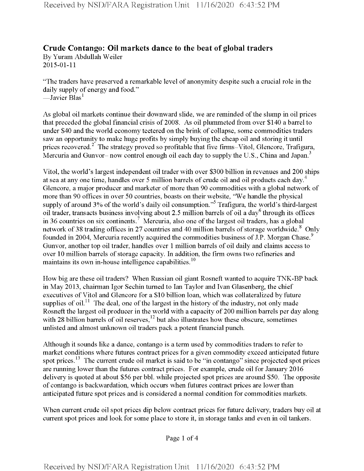## **Crude Contango: Oil markets dance to the beat of global traders**

By Yuram Abdullah Weiler 2015-01-11

"The traders have preserved a remarkable level of anonymity despite such a crucial role in the daily supply of energy and food." —Javier Blas $^{\rm l}$ 

As global oil markets continue their downward slide, we are reminded ofthe slump in oil prices that preceded the global financial crisis of 2008. As oil plummeted from over \$140 a barrel to under \$40 and the world economy teetered on the brink of collapse, some commodities traders saw an opportunity to make huge profits by simply buying the cheap oil and storing it until prices recovered.<sup>2</sup> The strategy proved so profitable that five firms–Vitol, Glencore, Trafigura, Mercuria and Gunvor- now control enough oil each day to supply the U.S., China and Japan.<sup>3</sup>

Vitol, the world's largest independent oil trader with over \$300 billion in revenues and 200 ships at sea at any one time, handles over 5 million barrels of crude oil and oil products each day.<sup>4</sup> Glencore, a major producer and marketer of more than 90 commodities with a global network of more than 90 offices in over 50 countries, boasts on their website, "We handle the physical supply of around 3% of the world's daily oil consumption."<sup>5</sup> Trafigura, the world's third-largest oil trader, transacts business involving about 2.5 million barrels of oil a day6 through its offices in 36 countries on six continents.<sup>7</sup> Mercuria, also one of the largest oil traders, has a global network of 38 trading offices in 27 countries and 40 million barrels of storage worldwide.<sup>8</sup> Only founded in 2004, Mercuria recently acquired the commodities business of J.P. Morgan Chase.<sup>9</sup> Gunvor, another top oil trader, handles over <sup>1</sup> million barrels of oil daily and claims access to over 10 million barrels of storage capacity. In addition, the firm owns two refineries and maintains its own in-house intelligence capabilities.<sup>10</sup>

How big are these oil traders? When Russian oil giant Rosneft wanted to acquire TNK-BP back in May 2013, chairman Igor Sechin turned to Ian Taylor and Ivan Glasenberg, the chief executives of Vitol and Glencore for a \$10 billion loan, which was collateralized by future supplies of oil.<sup>11</sup> The deal, one of the largest in the history of the industry, not only made Rosneft the largest oil producer in the world with a capacity of 200 million barrels per day along with 28 billion barrels of oil reserves,  $h^2$  but also illustrates how these obscure, sometimes unlisted and almost unknown oil traders pack a potent financial punch.

Although it sounds like a dance, contango is a term used by commodities traders to refer to market conditions where futures contract prices for a given commodity exceed anticipated future spot prices.13 The current crude oil market is said to be "in contango" since projected spot prices are running lower than the futures contract prices. For example, crude oil for January 2016 delivery is quoted at about \$56 per bbl. while projected spot prices are around \$50. The opposite of contango is backwardation, which occurs when futures contract prices are lower than anticipated future spot prices and is considered a normal condition for commodities markets.

When current crude oil spot prices dip below contract prices for future delivery, traders buy oil at current spot prices and look for some place to store it, in storage tanks and even in oil tankers.

Page <sup>1</sup> of 4

Received by NSD/FARA Registration Unit 11/16/2020 6:43:52 PM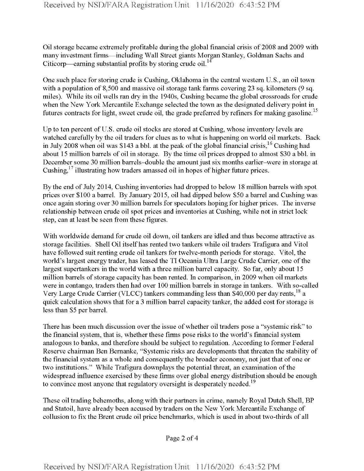Oil storage became extremely profitable during the global financial crisis of 2008 and 2009 with many investment firms—including Wall Street giants Morgan Stanley, Goldman Sachs and Citicorp—earning substantial profits by storing crude oil.<sup>14</sup>

One such place for storing crude is Cushing, Oklahoma in the central western U.S., an oil town with a population of 8,500 and massive oil storage tank farms covering 23 sq. kilometers (9 sq. miles). While its oil wells ran dry in the 1940s, Cushing became the global crossroads for crude when the New York Mercantile Exchange selected the town as the designated delivery point in futures contracts for light, sweet crude oil, the grade preferred by refiners for making gasoline.<sup>15</sup>

Up to ten percent of U.S. crude oil stocks are stored at Cushing, whose inventory levels are watched carefully by the oil traders for clues as to what is happening on world oil markets. Back in July 2008 when oil was \$143 a bbl. at the peak of the global financial crisis,<sup>16</sup> Cushing had about 15 million barrels of oil in storage. By the time oil prices dropped to almost \$30 a bbl. in December some 30 million barrels-double the amount just six months earlier-were in storage at Cushing,17 illustrating how traders amassed oil in hopes of higher future prices.

By the end of July 2014, Cushing inventories had dropped to below 18 million barrels with spot prices over \$100 a barrel. By January 2015, oil had dipped below \$50 a barrel and Cushing was once again storing over 30 million barrels for speculators hoping for higher prices. The inverse relationship between crude oil spot prices and inventories at Cushing, while not in strict lock step, can at least be seen from these figures.

With worldwide demand for crude oil down, oil tankers are idled and thus become attractive as storage facilities. Shell Oil itselfhas rented two tankers while oil traders Trafigura and Vitol have followed suit renting crude oil tankers for twelve-month periods for storage. Vitol, the world's largest energy trader, has leased the TI Oceania Ultra Large Crude Carrier, one of the largest supertankers in the world with a three million barrel capacity. So far, only about 15 million barrels of storage capacity has been rented. In comparison, in 2009 when oil markets were in contango, traders then had over 100 million barrels in storage in tankers. With so-called Very Large Crude Carrier (VLCC) tankers commanding less than \$40,000 per day rents,<sup>18</sup> a quick calculation shows that for a 3 million barrel capacity tanker, the added cost for storage is less than \$5 per barrel.

There has been much discussion over the issue of whether oil traders pose a "systemic risk" to the financial system, that is, whether these firms pose risks to the world's financial system analogous to banks, and therefore should be subject to regulation. According to former federal Reserve chairman Ben Bemanke, "Systemic risks are developments that threaten the stability of the financial system as a whole and consequently the broader economy, not just that of one or two institutions." While Trafigura downplays the potential threat, an examination of the widespread influence exercised by these firms over global energy distribution should be enough to convince most anyone that regulatory oversight is desperately needed.<sup>19</sup>

These oil trading behemoths, along with their partners in crime, namely Royal Dutch Shell, BP and Statoil, have already been accused by traders on the New York Mercantile Exchange of collusion to fix the Brent crude oil price benchmarks, which is used in about two-thirds of all

Page 2 of 4

Received by NSD/FARA Registration Unit 11/16/2020 6:43:52 PM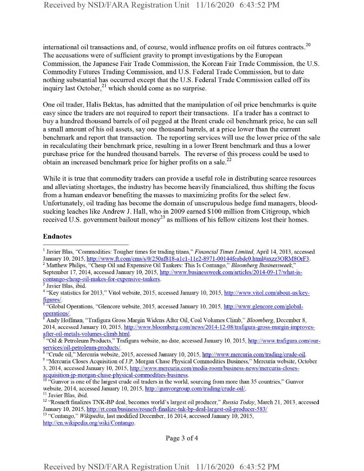international oil transactions and, of course, would influence profits on oil futures contracts.<sup>20</sup> The accusations were of sufficient gravity to prompt investigations by the European Commission, the Japanese Fair Trade Commission, the Korean Fair Trade Commission, the U.S. Commodity Futures Trading Commission, and U.S. Federal Trade Commission, but to date nothing substantial has occurred except that the U.S. Federal Trade Commission called offits inquiry last October, $^{21}$  which should come as no surprise.

One oil trader, Halis Bektas, has admitted that the manipulation of oil price benchmarks is quite easy since the traders are not required to report their transactions. If a trader has a contract to buy a hundred thousand barrels of oil pegged at the Brent crude oil benchmark price, he can sell a small amount of his oil assets, say one thousand barrels, at a price lower than the current benchmark and report that transaction. The reporting services will use the lower price of the sale in recalculating their benchmark price, resulting in a lower Brent benchmark and thus a lower purchase price for the hundred thousand barrels. The reverse of this process could be used to obtain an increased benchmark price for higher profits on a sale. $^{22}$ 

While it is true that commodity traders can provide a useful role in distributing scarce resources and alleviating shortages, the industry has become heavily financialized, thus shifting the focus from a human endeavor benefiting the masses to maximizing profits for the select few. Unfortunately, oil trading has become the domain of unscrupulous hedge fund managers, bloodsucking leaches like Andrew J. Hall, who in 2009 earned \$100 million from Citigroup, which received U.S. government bailout money<sup>23</sup> as millions of his fellow citizens lost their homes.

## Endnotes

6 Andy Hoffman, "Trafigura Gross Margin Widens After Oil, Coal Volumes Climb," *Bloomberg,* December 8, 2014, accessed January 10, 2015, http://www.bloomberg.com/news/2014-12-08/trafigura-gross-margin-improvesafter-oil-metals-volumes-climb.html.

<sup>11</sup> Javier Blas, ibid.

Page 3 of 4

<sup>1</sup> Javier Bias, "Commodities: Tougher times for trading titans," *Financial Times Limited,* April 14, 2013, accessed January 10, 2015, http://www.ft.com/cms/s/0/250af818-a1c1-11e2-8971-00144feabdc0.html#axzz3ORM8OrF3. 2 Matthew Philips, "Cheap Oil and Expensive Oil Tankers: This Is Contango," *Bloomberg Businessweek"*

September 17, 2014, accessed January 10, 2015, http://www.businessweek.com/articles/2014-09-17/what-iscontango-cheap-oil-makes-for-expensive-tankers.

Javier Blas, ibid.

<sup>&</sup>lt;sup>4</sup> "Key statistics for 2013," Vitol website, 2015, accessed January 10, 2015, http://www.vitol.com/about-us/keyfigures/.

 $5 \text{``Global Operations, ``Glencore website, 2015, accessed January 10, 2015, <http://www.glencore.com/global-1>$ operations/.

<sup>7</sup> "Oil & Petroleum Products," Trafigura website, no date, accessed January 10, 2015, http://www.trafigura.com/ourservices/oil-petroleum-products/.

<sup>8</sup> "Crude oil," Mercuria website, 2015, accessed January 10, 2015, http://www.mercuria.com/tradmg/cmde-oil.

<sup>&</sup>lt;sup>9</sup> "Mercuria Closes Acquisition of J.P. Morgan Chase Physical Commodities Business," Mercuria website, October 3, 2014, accessed January 10, 2015, http://www.mercuria.com/media-room/business-news/mercuria-closes-

acquisition-ip-morgan-chase-physical-commodities-business.

<sup>&</sup>lt;sup>10</sup> "Gunvor is one of the largest crude oil traders in the world, sourcing from more than 35 countries," Gunvor website, 2014, accessed January 10, 2015, http://gunvorgroup.com/trading/crude-oil/.

<sup>12</sup> "Rosneft finalizes TNK-BP deal, becomes world's largest oil producer," *Russia Today,* March 21, 2013, accessed January 10, 2015, http://rt.com/business/rosneft-finalize-tnk-bp-deal-largest-oil-producer-583/

<sup>&</sup>lt;sup>13</sup> "Contango," Wikipedia, last modified December, 16 2014, accessed January 10, 2015, http://en.wikipedia.org/wiki/Contango.